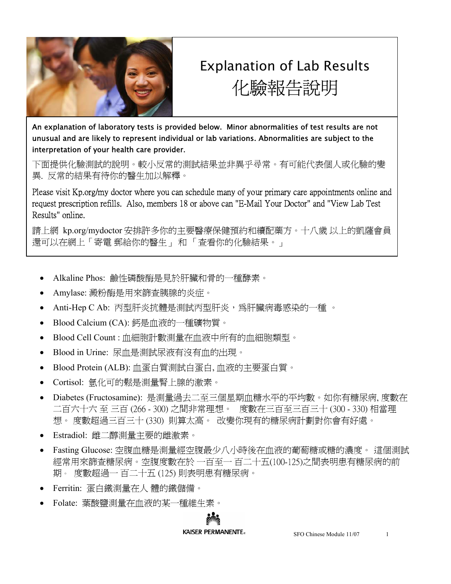

## Explanation of Lab Results 化驗報告說明

 An explanation of laboratory tests is provided below. Minor abnormalities of test results are not unusual and are likely to represent individual or lab variations. Abnormalities are subject to the interpretation of your health care provider.

下面提供化驗測試的說明。較小反常的測試結果並非異乎尋常。有可能代表個人或化驗的變 異. 反常的結果有待你的醫生加以解釋。

Please visit Kp.org/my doctor where you can schedule many of your primary care appointments online and request prescription refills. Also, members 18 or above can "E-Mail Your Doctor" and "View Lab Test Results" online.

請上網 kp.org/mydoctor 安排許多你的主要醫療保健預約和續配藥方。十八歲 以上的凱薩會員 還可以在網上「寄電 郵給你的醫生」 和 「查看你的化驗結果。」

- Alkaline Phos: 鹼性磷酸酶是見於肝臟和骨的一種酵素。
- Amylase: 澱粉酶是用來篩查胰腺的炎症。
- Anti-Hep C Ab: 丙型肝炎抗體是測試丙型肝炎,爲肝臟病毒感染的一種 。
- Blood Calcium (CA): 鈣是血液的一種礦物質。
- Blood Cell Count : 血細胞計數測量在血液中所有的血細胞類型。
- Blood in Urine: 尿血是測試尿液有沒有血的出現。
- Blood Protein (ALB): 血蛋白質測試白蛋白, 血液的主要蛋白質。
- Cortisol: 氫化可的鬆是測量腎上腺的激素。
- Diabetes (Fructosamine): 是測量過去二至三個星期血糖水平的平均數。如你有糖尿病, 度數在 二百六十六 至 三百 (266 - 300) 之間非常理想。 度數在三百至三百三十 (300 - 330) 相當理 想。 度數超過三百三十 (330) 則算太高。 改變你現有的糖尿病計劃對你會有好處。
- Estradiol: 雌二醇測量主要的雌激素。
- Fasting Glucose: 空腹血糖是測量經空腹最少八小時後在血液的葡萄糖或糖的濃度。 這個測試 經常用來篩查糖尿病。空腹度數在於 一百至一 百二十五(100-125)之間表明患有糖尿病的前 期。 度數超過一 百二十五 (125) 則表明患有糖尿病。
- Ferritin: 蛋白鐵測量在人 體的鐵儲備。
- Folate: 葉酸鹽測量在血液的某一種維生素。

## KAISER PERMANENTE®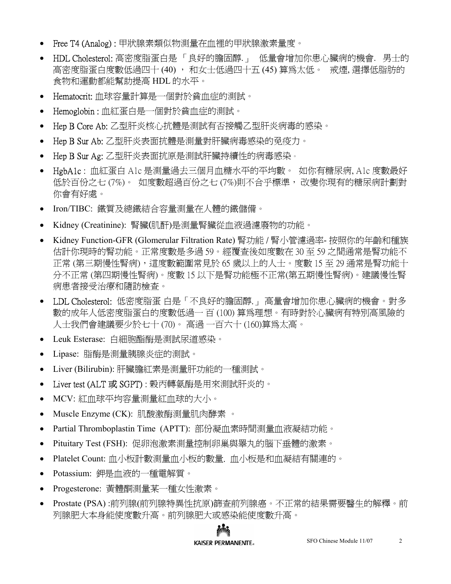- Free T4 (Analog) : 甲狀腺素類似物測量在血裡的甲狀腺激素量度。
- HDL Cholesterol: 高密度脂蛋白是 「良好的膽固醇.」 低量會增加你患心臟病的機會. 男士的 高密度脂蛋白度數低過四十 (40) , 和女士低過四十五 (45) 算為太低。 戒煙, 選擇低脂肪的 食物和運動都能幫助提高 HDL 的水平。  $\bullet$
- Hematocrit: 血球容量計算是一個對於貧血症的測試。 •
- Hemoglobin : 血紅蛋白是一個對於貧血症的測試。 •
- Hep B Core Ab: 乙型肝炎核心抗體是測試有否接觸乙型肝炎病毒的感染。  $\bullet$
- Hep B Sur Ab: 乙型肝炎表面抗體是測量對肝臟病毒感染的免疫力。 •
- Hep B Sur Ag: 乙型肝炎表面抗原是測試肝臟持續性的病毒感染。 •
- HgbA1c : 血紅蛋白 A1c 是測量過去三個月血糖水平的平均數。 如你有糖尿病, A1c 度數最好 低於百份之七 (7%)。 如度數超過百份之七 (7%)則不合乎標準, 改變你現有的糖尿病計劃對 你會有好處。
- Iron/TIBC: 鐵質及總鐵結合容量測量在人體的鐵儲備。 •
- Kidney (Creatinine): 腎臟(肌酐)是測量腎臟從血液過濾廢物的功能。 •
- Kidney Function-GFR (Glomerular Filtration Rate) 腎功能 / 腎小管濾過率- 按照你的年齡和種族 估計你現時的腎功能。正常度數是多過 59。經覆查後如度數在 30 至 59 之間通常是腎功能不 正常 (第三期慢性腎病),這度數範圍常見於 65 歲以上的人士。度數 15 至 29 通常是腎功能十 分不正常 (第四期慢性腎病)。度數 15 以下是腎功能極不正常(第五期慢性腎病)。建議慢性腎 病患者接受治療和隨訪檢查。
- LDL Cholesterol: 低密度脂蛋 白是「不良好的膽固醇.」 高量會增加你患心臟病的機會。對多 數的成年人低密度脂蛋白的度數低過一 百 (100) 算為理想。有時對於心臟病有特別高風險的 人士我們會建議要少於七十 (70)。 高過 一百六十 (160)算為太高。
- Leuk Esterase: 白細胞酯酶是測試尿道感染。 •
- Lipase: 脂酶是測量胰腺炎症的測試。 •
- Liver (Bilirubin): 肝臟膽紅素是測量肝功能的一種測試。 •
- Liver test (ALT 或 SGPT) : 榖丙轉氨酶是用來測試肝炎的。 •
- MCV: 紅血球平均容量測量紅血球的大小。 •
- Muscle Enzyme (CK): 肌酸激酶測量肌肉酵素 。 •
- Partial Thromboplastin Time (APTT): 部份凝血素時間測量血液凝結功能。 •
- Pituitary Test (FSH): 促卵泡激素測量控制卵巢與睪丸的腦下垂體的激素。 •
- Platelet Count: 血小板計數測量血小板的數量. 血小板是和血凝結有關連的。 •
- Potassium: 鉀是血液的一種電解質。 •
- Progesterone: 黃體酮測量某一種女性激素。 •
- Prostate (PSA) :前列腺(前列腺特異性抗原)篩查前列腺癌。不正常的結果需要醫生的解釋。前 列腺肥大本身能使度數升高。前列腺肥大或感染能使度數升高。  $\bullet$

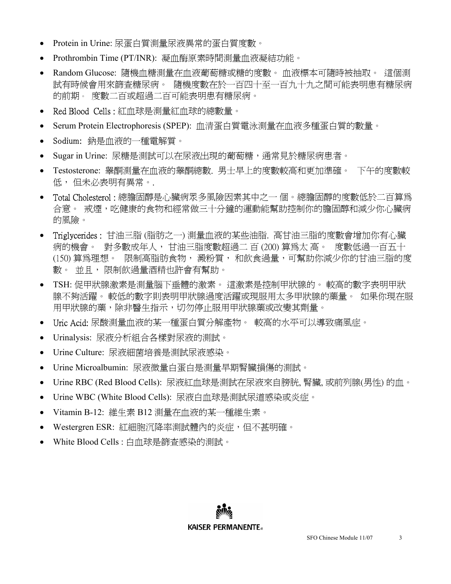- Protein in Urine: 尿蛋白質測量尿液異常的蛋白質度數。
- Prothrombin Time (PT/INR): 凝血酶原素時間測量血液凝結功能。 •
- Random Glucose: 隨機血糖測量在血液葡萄糖或糖的度數。 血液標本可隨時被抽取。 這個測 試有時候會用來篩查糖尿病。 隨機度數在於一百四十至一百九十九之間可能表明患有糖尿病 的前期。 度數二百或超過二百可能表明患有糖尿病。 •
- Red Blood Cells : 紅血球是測量紅血球的總數量。 •
- Serum Protein Electrophoresis (SPEP): 血清蛋白質電泳測量在血液多種蛋白質的數量。 •
- Sodium: 鈉是血液的一種電解質。 •
- Sugar in Urine: 尿糖是測試可以在尿液出現的葡萄糖,通常見於糖尿病患者。  $\bullet$
- Testosterone: 睾酮測量在血液的睾酮總數. 男士早上的度數較高和更加準確。 下午的度數較 低, 但未必表明有異常。.  $\bullet$
- Total Cholesterol : 總膽固醇是心臟病眾多風險因素其中之一 個。總膽固醇的度數低於二百算為 合意。 戒煙,吃健康的食物和經常做三十分鐘的運動能幫助控制你的膽固醇和減少你心臟病 的風險。
- Triglycerides : 甘油三脂 (脂肪之一) 測量血液的某些油脂. 高甘油三脂的度數會增加你有心臟 病的機會。 對多數成年人, 甘油三脂度數超過二 百 (200) 算為太 高。 度數低過一百五十 (150) 算為理想。 限制高脂肪食物, 澱粉質, 和飲食過量,可幫助你減少你的甘油三脂的度 數。 並且, 限制飲過量酒精也許會有幫助。
- TSH: 促甲狀腺激素是測量腦下垂體的激素。 這激素是控制甲狀腺的。 較高的數字表明甲狀 腺不夠活躍。 較低的數字則表明甲狀腺過度活躍或現服用太多甲狀腺的藥量。 如果你現在服 用甲狀腺的藥,除非醫生指示,切勿停止服用甲狀腺藥或改變其劑量。
- Uric Acid: 尿酸測量血液的某一種蛋白質分解產物。 較高的水平可以導致痛風症。 •
- Urinalysis: 尿液分析組合各樣對尿液的測試。  $\bullet$
- Urine Culture: 尿液細菌培養是測試尿液感染。 •
- Urine Microalbumin: 尿液微量白蛋白是測量早期腎臟損傷的測試。 •
- Urine RBC (Red Blood Cells): 尿液紅血球是測試在尿液來自膀胱, 腎臟, 或前列腺(男性) 的血。 •
- Urine WBC (White Blood Cells): 尿液白血球是測試尿道感染或炎症。 •
- Vitamin B-12: 維生素 B12 測量在血液的某一種維生素。 •
- Westergren ESR: 紅細胞沉降率測試體內的炎症,但不甚明確。 •
- White Blood Cells : 白血球是篩查感染的測試。 •

**KAISER PERMANENTE**